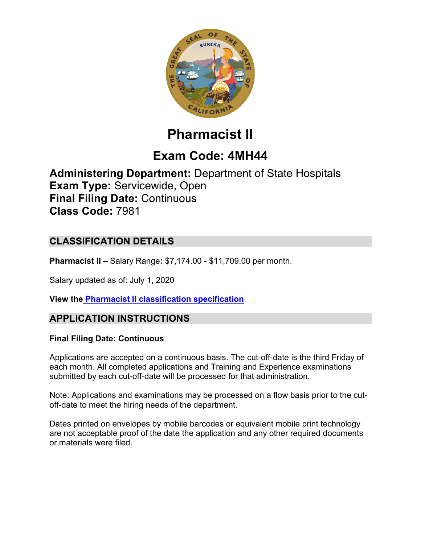

# **Pharmacist II**

# **Exam Code: 4MH44**

**Administering Department:** Department of State Hospitals **Exam Type:** Servicewide, Open **Final Filing Date:** Continuous **Class Code:** 7981

# **CLASSIFICATION DETAILS**

**Pharmacist II –** Salary Range**:** \$7,174.00 - \$11,709.00 per month.

Salary updated as of: July 1, 2020

**View the [Pharmacist II classification specification](https://www.calhr.ca.gov/state-hr-professionals/pages/7981.aspx)**

# **APPLICATION INSTRUCTIONS**

#### **Final Filing Date: Continuous**

Applications are accepted on a continuous basis. The cut-off-date is the third Friday of each month. All completed applications and Training and Experience examinations submitted by each cut-off-date will be processed for that administration.

Note: Applications and examinations may be processed on a flow basis prior to the cutoff-date to meet the hiring needs of the department.

Dates printed on envelopes by mobile barcodes or equivalent mobile print technology are not acceptable proof of the date the application and any other required documents or materials were filed.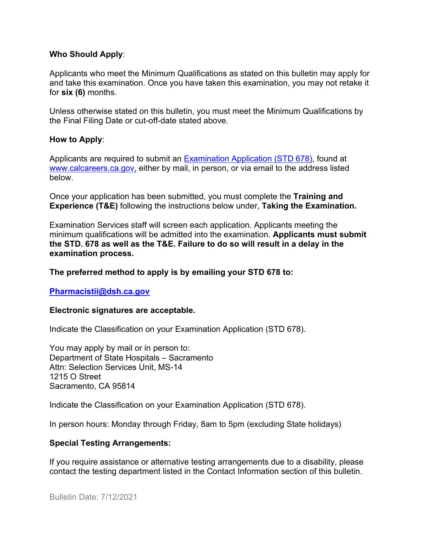#### **Who Should Apply**:

Applicants who meet the Minimum Qualifications as stated on this bulletin may apply for and take this examination. Once you have taken this examination, you may not retake it for **six (6)** months.

Unless otherwise stated on this bulletin, you must meet the Minimum Qualifications by the Final Filing Date or cut-off-date stated above.

#### **How to Apply**:

Applicants are required to submit an [Examination Application \(STD 678\),](https://jobs.ca.gov/pdf/std678.pdf) found at [www.calcareers.ca.gov,](http://www.calcareers.ca.gov/) either by mail, in person, or via email to the address listed below.

Once your application has been submitted, you must complete the **Training and Experience (T&E)** following the instructions below under, **Taking the Examination.**

Examination Services staff will screen each application. Applicants meeting the minimum qualifications will be admitted into the examination. **Applicants must submit the STD. 678 as well as the T&E. Failure to do so will result in a delay in the examination process.**

#### **The preferred method to apply is by emailing your STD 678 to:**

**[Pharmacistii@dsh.ca.gov](mailto:Pharmacistii@dsh.ca.gov)**

#### **Electronic signatures are acceptable.**

Indicate the Classification on your Examination Application (STD 678).

You may apply by mail or in person to: Department of State Hospitals – Sacramento Attn: Selection Services Unit, MS-14 1215 O Street Sacramento, CA 95814

Indicate the Classification on your Examination Application (STD 678).

In person hours: Monday through Friday, 8am to 5pm (excluding State holidays)

#### **Special Testing Arrangements:**

If you require assistance or alternative testing arrangements due to a disability, please contact the testing department listed in the Contact Information section of this bulletin.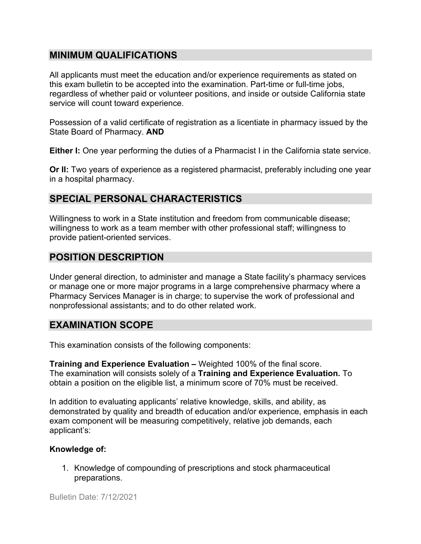## **MINIMUM QUALIFICATIONS**

All applicants must meet the education and/or experience requirements as stated on this exam bulletin to be accepted into the examination. Part-time or full-time jobs, regardless of whether paid or volunteer positions, and inside or outside California state service will count toward experience.

Possession of a valid certificate of registration as a licentiate in pharmacy issued by the State Board of Pharmacy. **AND**

**Either I:** One year performing the duties of a Pharmacist I in the California state service.

**Or II:** Two years of experience as a registered pharmacist, preferably including one year in a hospital pharmacy.

## **SPECIAL PERSONAL CHARACTERISTICS**

Willingness to work in a State institution and freedom from communicable disease; willingness to work as a team member with other professional staff; willingness to provide patient-oriented services.

## **POSITION DESCRIPTION**

Under general direction, to administer and manage a State facility's pharmacy services or manage one or more major programs in a large comprehensive pharmacy where a Pharmacy Services Manager is in charge; to supervise the work of professional and nonprofessional assistants; and to do other related work.

## **EXAMINATION SCOPE**

This examination consists of the following components:

**Training and Experience Evaluation –** Weighted 100% of the final score. The examination will consists solely of a **Training and Experience Evaluation.** To obtain a position on the eligible list, a minimum score of 70% must be received.

In addition to evaluating applicants' relative knowledge, skills, and ability, as demonstrated by quality and breadth of education and/or experience, emphasis in each exam component will be measuring competitively, relative job demands, each applicant's:

#### **Knowledge of:**

1. Knowledge of compounding of prescriptions and stock pharmaceutical preparations.

Bulletin Date: 7/12/2021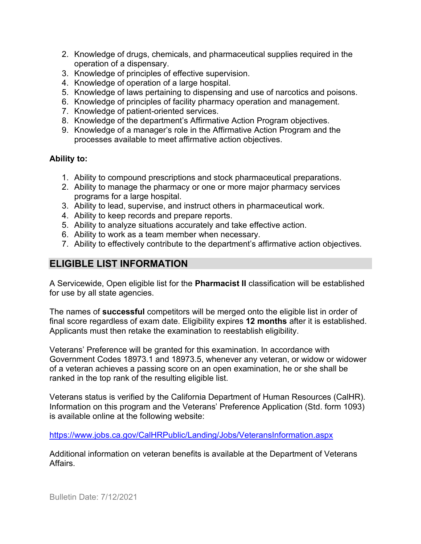- 2. Knowledge of drugs, chemicals, and pharmaceutical supplies required in the operation of a dispensary.
- 3. Knowledge of principles of effective supervision.
- 4. Knowledge of operation of a large hospital.
- 5. Knowledge of laws pertaining to dispensing and use of narcotics and poisons.
- 6. Knowledge of principles of facility pharmacy operation and management.
- 7. Knowledge of patient-oriented services.
- 8. Knowledge of the department's Affirmative Action Program objectives.
- 9. Knowledge of a manager's role in the Affirmative Action Program and the processes available to meet affirmative action objectives.

#### **Ability to:**

- 1. Ability to compound prescriptions and stock pharmaceutical preparations.
- 2. Ability to manage the pharmacy or one or more major pharmacy services programs for a large hospital.
- 3. Ability to lead, supervise, and instruct others in pharmaceutical work.
- 4. Ability to keep records and prepare reports.
- 5. Ability to analyze situations accurately and take effective action.
- 6. Ability to work as a team member when necessary.
- 7. Ability to effectively contribute to the department's affirmative action objectives.

# **ELIGIBLE LIST INFORMATION**

A Servicewide, Open eligible list for the **Pharmacist II** classification will be established for use by all state agencies.

The names of **successful** competitors will be merged onto the eligible list in order of final score regardless of exam date. Eligibility expires **12 months** after it is established. Applicants must then retake the examination to reestablish eligibility.

Veterans' Preference will be granted for this examination. In accordance with Government Codes 18973.1 and 18973.5, whenever any veteran, or widow or widower of a veteran achieves a passing score on an open examination, he or she shall be ranked in the top rank of the resulting eligible list.

Veterans status is verified by the California Department of Human Resources (CalHR). Information on this program and the Veterans' Preference Application (Std. form 1093) is available online at the following website:

<https://www.jobs.ca.gov/CalHRPublic/Landing/Jobs/VeteransInformation.aspx>

Additional information on veteran benefits is available at the Department of Veterans Affairs.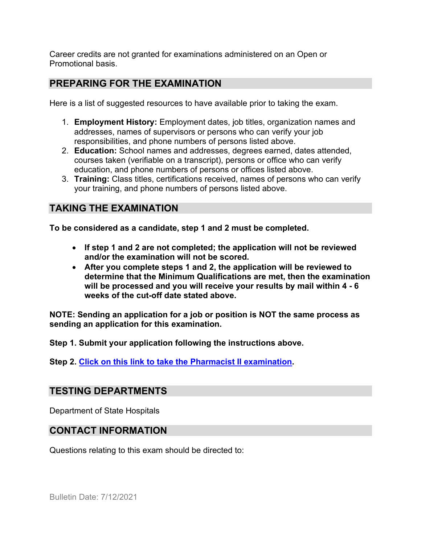Career credits are not granted for examinations administered on an Open or Promotional basis.

## **PREPARING FOR THE EXAMINATION**

Here is a list of suggested resources to have available prior to taking the exam.

- 1. **Employment History:** Employment dates, job titles, organization names and addresses, names of supervisors or persons who can verify your job responsibilities, and phone numbers of persons listed above.
- 2. **Education:** School names and addresses, degrees earned, dates attended, courses taken (verifiable on a transcript), persons or office who can verify education, and phone numbers of persons or offices listed above.
- 3. **Training:** Class titles, certifications received, names of persons who can verify your training, and phone numbers of persons listed above.

# **TAKING THE EXAMINATION**

**To be considered as a candidate, step 1 and 2 must be completed.**

- **If step 1 and 2 are not completed; the application will not be reviewed and/or the examination will not be scored.**
- **After you complete steps 1 and 2, the application will be reviewed to determine that the Minimum Qualifications are met, then the examination will be processed and you will receive your results by mail within 4 - 6 weeks of the cut-off date stated above.**

**NOTE: Sending an application for a job or position is NOT the same process as sending an application for this examination.**

**Step 1. Submit your application following the instructions above.**

**Step 2. Click on this link [to take the Pharmacist II](https://www.surveymonkey.com/r/TVGPYFY) examination.**

# **TESTING DEPARTMENTS**

Department of State Hospitals

# **CONTACT INFORMATION**

Questions relating to this exam should be directed to:

Bulletin Date: 7/12/2021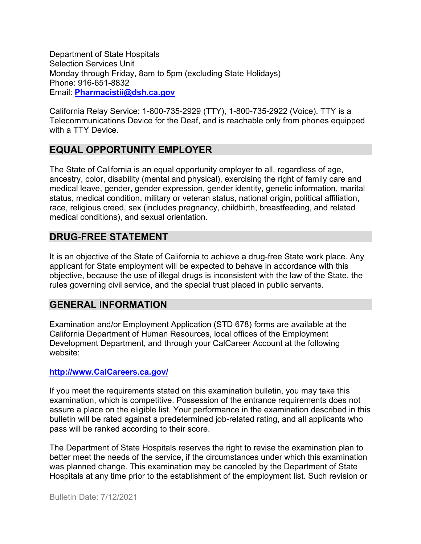Department of State Hospitals Selection Services Unit Monday through Friday, 8am to 5pm (excluding State Holidays) Phone: 916-651-8832 Email: **[Pharmacistii@dsh.ca.gov](mailto:Pharmacistii@dsh.ca.gov)**

California Relay Service: 1-800-735-2929 (TTY), 1-800-735-2922 (Voice). TTY is a Telecommunications Device for the Deaf, and is reachable only from phones equipped with a TTY Device.

## **EQUAL OPPORTUNITY EMPLOYER**

The State of California is an equal opportunity employer to all, regardless of age, ancestry, color, disability (mental and physical), exercising the right of family care and medical leave, gender, gender expression, gender identity, genetic information, marital status, medical condition, military or veteran status, national origin, political affiliation, race, religious creed, sex (includes pregnancy, childbirth, breastfeeding, and related medical conditions), and sexual orientation.

## **DRUG-FREE STATEMENT**

It is an objective of the State of California to achieve a drug-free State work place. Any applicant for State employment will be expected to behave in accordance with this objective, because the use of illegal drugs is inconsistent with the law of the State, the rules governing civil service, and the special trust placed in public servants.

## **GENERAL INFORMATION**

Examination and/or Employment Application (STD 678) forms are available at the California Department of Human Resources, local offices of the Employment Development Department, and through your CalCareer Account at the following website:

#### **http://www.CalCareers.ca.gov/**

If you meet the requirements stated on this examination bulletin, you may take this examination, which is competitive. Possession of the entrance requirements does not assure a place on the eligible list. Your performance in the examination described in this bulletin will be rated against a predetermined job-related rating, and all applicants who pass will be ranked according to their score.

The Department of State Hospitals reserves the right to revise the examination plan to better meet the needs of the service, if the circumstances under which this examination was planned change. This examination may be canceled by the Department of State Hospitals at any time prior to the establishment of the employment list. Such revision or